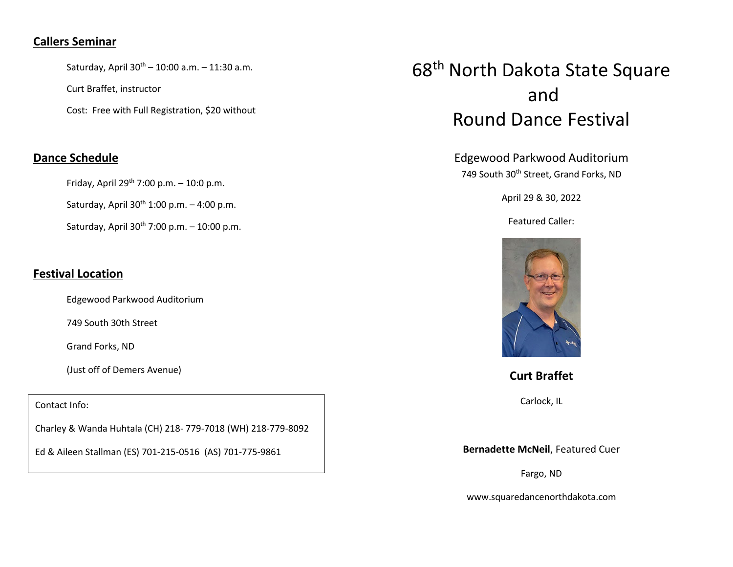## **Callers Seminar**

Saturday, April  $30^{th} - 10:00$  a.m.  $- 11:30$  a.m.

Curt Braffet, instructor

Cost: Free with Full Registration, \$20 without

## **Dance Schedule**

Friday, April 29<sup>th</sup> 7:00 p.m.  $-$  10:0 p.m.

Saturday, April  $30<sup>th</sup> 1:00$  p.m.  $-4:00$  p.m.

Saturday, April  $30^{th}$  7:00 p.m. – 10:00 p.m.

## **Festival Location**

Edgewood Parkwood Auditorium

749 South 30th Street

Grand Forks, ND

(Just off of Demers Avenue)

Contact Info:

Charley & Wanda Huhtala (CH) 218- 779-7018 (WH) 218-779-8092

Ed & Aileen Stallman (ES) 701-215-0516 (AS) 701-775-9861

## 68th North Dakota State Square and Round Dance Festival

Edgewood Parkwood Auditorium 749 South 30<sup>th</sup> Street, Grand Forks, ND

April 29 & 30, 2022

Featured Caller:



**Curt Braffet**

Carlock, IL

**Bernadette McNeil**, Featured Cuer

Fargo, ND

www.squaredancenorthdakota.com